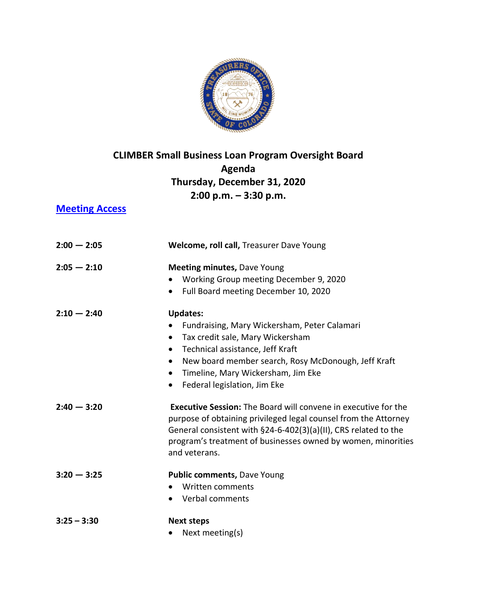

## **CLIMBER Small Business Loan Program Oversight Board Agenda Thursday, December 31, 2020 2:00 p.m. – 3:30 p.m.**

## **[Meeting Access](https://zoom.us/j/95621097702?pwd=WFo0VTYyQmZuOTRWMjhZRHd6UHNnQT09)**

| $2:00 - 2:05$ | Welcome, roll call, Treasurer Dave Young                                                                                                                                                                                                                                                                                              |
|---------------|---------------------------------------------------------------------------------------------------------------------------------------------------------------------------------------------------------------------------------------------------------------------------------------------------------------------------------------|
| $2:05 - 2:10$ | <b>Meeting minutes, Dave Young</b><br>Working Group meeting December 9, 2020<br>Full Board meeting December 10, 2020<br>$\bullet$                                                                                                                                                                                                     |
| $2:10 - 2:40$ | <b>Updates:</b><br>Fundraising, Mary Wickersham, Peter Calamari<br>Tax credit sale, Mary Wickersham<br>$\bullet$<br>Technical assistance, Jeff Kraft<br>$\bullet$<br>New board member search, Rosy McDonough, Jeff Kraft<br>$\bullet$<br>Timeline, Mary Wickersham, Jim Eke<br>$\bullet$<br>Federal legislation, Jim Eke<br>$\bullet$ |
| $2:40 - 3:20$ | <b>Executive Session:</b> The Board will convene in executive for the<br>purpose of obtaining privileged legal counsel from the Attorney<br>General consistent with §24-6-402(3)(a)(II), CRS related to the<br>program's treatment of businesses owned by women, minorities<br>and veterans.                                          |
| $3:20 - 3:25$ | Public comments, Dave Young<br>Written comments<br>Verbal comments                                                                                                                                                                                                                                                                    |
| $3:25 - 3:30$ | <b>Next steps</b><br>Next meeting(s)                                                                                                                                                                                                                                                                                                  |